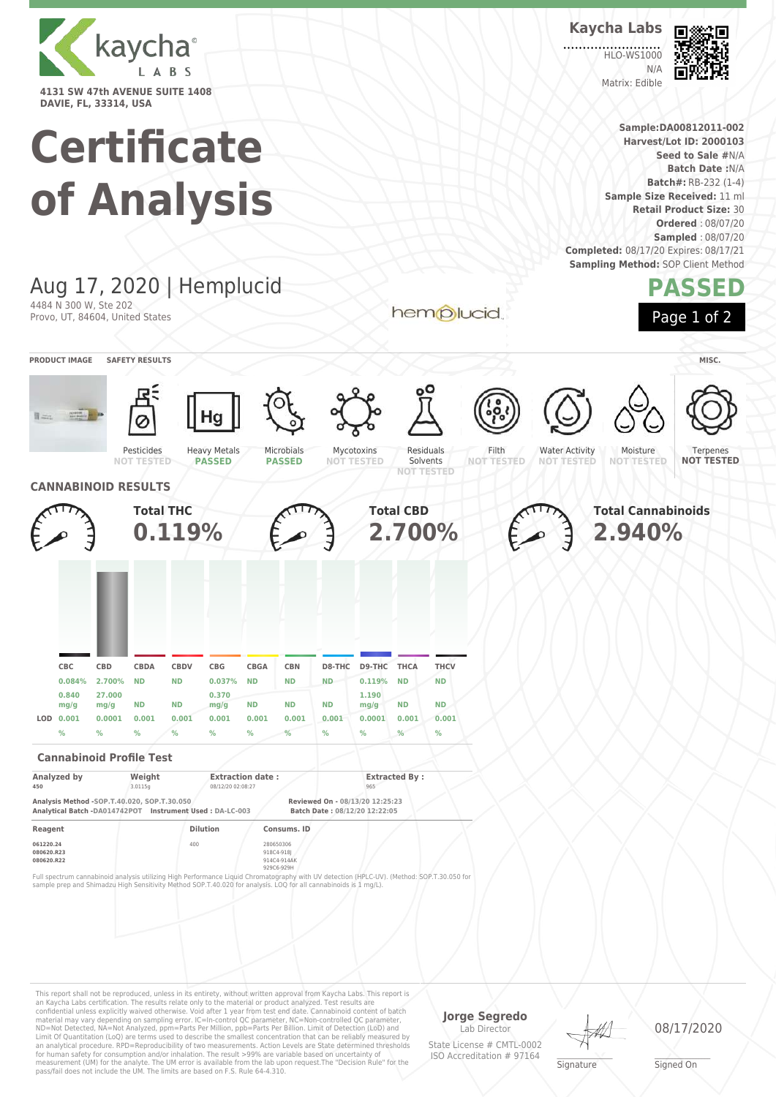

## **Certificate**

**Batch Date :**N/A **Batch#:** RB-232 (1-4) **of Analysis Sample Size Received:** 11 ml **Retail Product Size:** 30 **Ordered** : 08/07/20 **Sampled** : 08/07/20 **Completed:** 08/17/20 Expires: 08/17/21 **Sampling Method: SOP Client Method** Aug 17, 2020 | Hemplucid **PASSED** 4484 N 300 W, Ste 202 hemplucid Page 1 of 2 Provo, UT, 84604, United States **PRODUCT IMAGE SAFETY RESULTS MISC.** Terpenes Mycotoxins Pesticides Heavy Metals Microbials Residuals Filth Water Activity Moisture **PASSED PASSED** Solvents **NOT TESTED NOT TESTED NOT TESTED NOT TESTED NOT TESTED NOT TESTED NOT TESTED CANNABINOID RESULTS Total CBD Total THC Total Cannabinoids 0.119% 2.700% 2.940% CBC CBD CBDA CBDV CBG CBGA CBN D8-THC D9-THC THCA THCV 0.084% 2.700% ND ND 0.037% ND ND ND 0.119% ND ND 0.840 27.000 0.370 1.190 mg/g mg/g ND ND mg/g ND ND ND mg/g ND ND LOD 0.001 0.0001 0.001 0.001 0.001 0.001 0.001 0.001 0.0001 0.001 0.001 % % % % % % % % % % % Cannabinoid Profile Test Analyzed by Weight Extraction date : Extracted By : 450** 3.0115g 08/12/20 02:08:27 965 **Analysis Method -SOP.T.40.020, SOP.T.30.050 Reviewed On - 08/13/20 12:25:23 Analytical Batch -DA014742POT** Instrument Used : DA-LC-003 **Reagent Dilution Consums. ID 061220.24 100 280650306 280650306 280650306 280650306 280650306** 080620.R23<br>080620.R22 **080620.R22** 914C4-914AK 929C6-929H Full spectrum cannabinoid analysis utilizing High Performance Liquid Chromatography with UV detection (HPLC-UV). (Method: SOP.T.30.050 for sample prep and Shimadzu High Sensitivity Method SOP.T.40.020 for analysis. LOQ for all cannabinoids is 1 mg/L).This report shall not be reproduced, unless in its entirety, without written approval from Kaycha Labs. This report is

an Kaycha Labs certification. The results relate only to the material or product analyzed. Test results are<br>confidential unless explicitly waived otherwise. Void after 1 year from test end date. Cannabinoid content of bat Limit Of Quantitation (LoQ) are terms used to describe the smallest concentration that can be reliably measured by an analytical procedure. RPD=Reproducibility of two measurements. Action Levels are State determined thresholds for human safety for consumption and/or inhalation. The result >99% are variable based on uncertainty of measurement (UM) for the analyte. The UM error is available from the lab upon request.The "Decision Rule" for the pass/fail does not include the UM. The limits are based on F.S. Rule 64-4.310.

**Jorge Segredo** Lab Director

State License # CMTL-0002 ISO Accreditation # 97164

**Signature** 

08/17/2020

\_\_\_\_\_\_\_\_\_\_\_\_\_\_\_\_\_\_\_ Signed On

**Sample:DA00812011-002 Harvest/Lot ID: 2000103 Seed to Sale #**N/A

**Kaycha Labs**

**HLO-WS1000**  $N/L$ Matrix: Edible